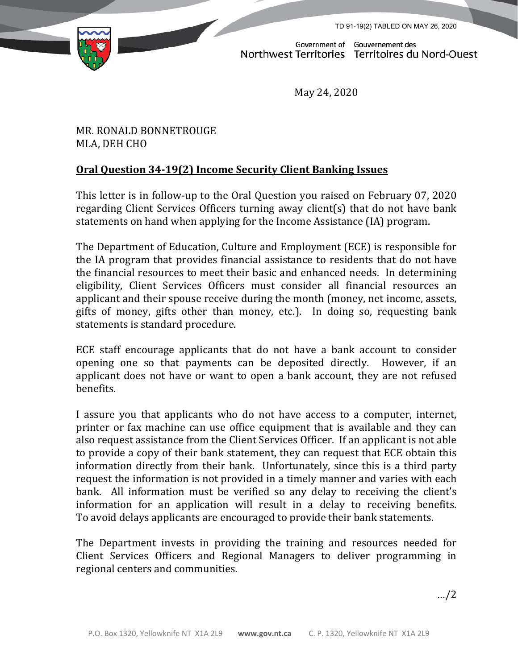TD 91-19(2) TABLED ON MAY 26, 2020



Government of Gouvernement des<br>Northwest Territories Territoires du Nord-Ouest

May 24, 2020

## MR. RONALD BONNETROUGE MLA, DEH CHO

## **Oral Question 34-19(2) Income Security Client Banking Issues**

This letter is in follow-up to the Oral Question you raised on February 07, 2020 regarding Client Services Officers turning away client(s) that do not have bank statements on hand when applying for the Income Assistance (IA) program.

The Department of Education, Culture and Employment (ECE) is responsible for the IA program that provides financial assistance to residents that do not have the financial resources to meet their basic and enhanced needs. In determining eligibility, Client Services Officers must consider all financial resources an applicant and their spouse receive during the month (money, net income, assets, gifts of money, gifts other than money, etc.). In doing so, requesting bank statements is standard procedure.

ECE staff encourage applicants that do not have a bank account to consider opening one so that payments can be deposited directly. However, if an applicant does not have or want to open a bank account, they are not refused benefits.

I assure you that applicants who do not have access to a computer, internet, printer or fax machine can use office equipment that is available and they can also request assistance from the Client Services Officer. If an applicant is not able to provide a copy of their bank statement, they can request that ECE obtain this information directly from their bank. Unfortunately, since this is a third party request the information is not provided in a timely manner and varies with each bank. All information must be verified so any delay to receiving the client's information for an application will result in a delay to receiving benefits. To avoid delays applicants are encouraged to provide their bank statements.

The Department invests in providing the training and resources needed for Client Services Officers and Regional Managers to deliver programming in regional centers and communities.

…/2